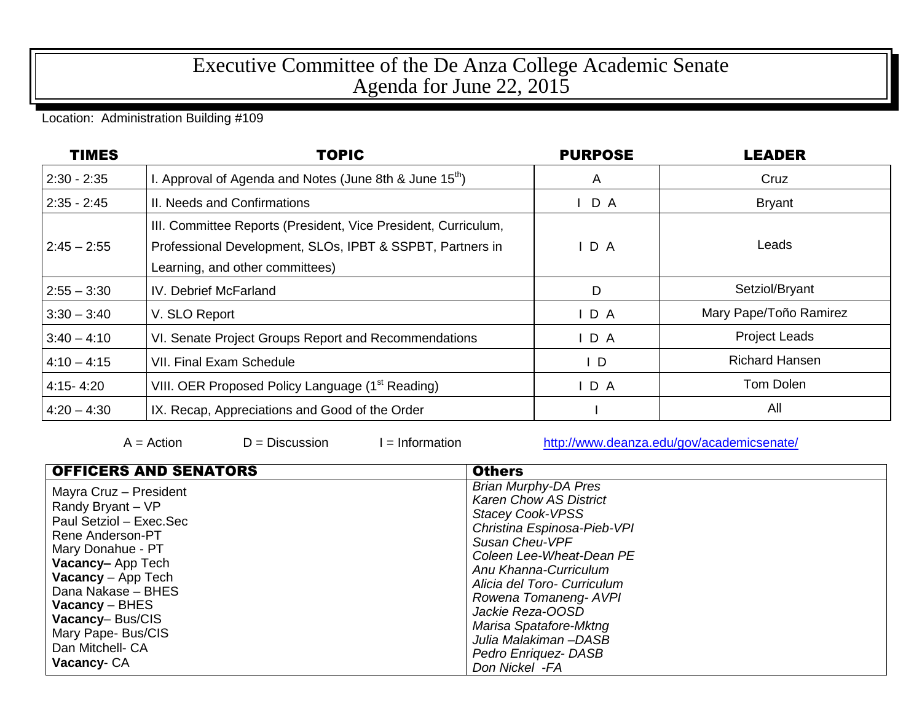## Executive Committee of the De Anza College Academic Senate Agenda for June 22, 2015

## Location: Administration Building #109

| <b>TIMES</b>  | <b>TOPIC</b>                                                                                                                                                   | <b>PURPOSE</b> | <b>LEADER</b>          |
|---------------|----------------------------------------------------------------------------------------------------------------------------------------------------------------|----------------|------------------------|
| $2:30 - 2:35$ | I. Approval of Agenda and Notes (June 8th & June $15th$ )                                                                                                      | $\mathsf{A}$   | Cruz                   |
| $2:35 - 2:45$ | II. Needs and Confirmations                                                                                                                                    | D A            | <b>Bryant</b>          |
| $2:45 - 2:55$ | III. Committee Reports (President, Vice President, Curriculum,<br>Professional Development, SLOs, IPBT & SSPBT, Partners in<br>Learning, and other committees) | D A            | Leads                  |
| $2:55 - 3:30$ | IV. Debrief McFarland                                                                                                                                          | D              | Setziol/Bryant         |
| $3:30 - 3:40$ | V. SLO Report                                                                                                                                                  | $I$ D A        | Mary Pape/Toño Ramirez |
| $3:40 - 4:10$ | VI. Senate Project Groups Report and Recommendations                                                                                                           | D A            | <b>Project Leads</b>   |
| $4:10 - 4:15$ | <b>VII. Final Exam Schedule</b>                                                                                                                                | $\mathsf{I}$ D | <b>Richard Hansen</b>  |
| $4:15 - 4:20$ | VIII. OER Proposed Policy Language (1 <sup>st</sup> Reading)                                                                                                   | $I$ D A        | Tom Dolen              |
| $4:20 - 4:30$ | IX. Recap, Appreciations and Good of the Order                                                                                                                 |                | All                    |

 $A = Action$   $D = Discussion$   $I = Information$  <http://www.deanza.edu/gov/academicsenate/>

| <b>OFFICERS AND SENATORS</b>                                                                                                                                                                                                                                                        | <b>Others</b>                                                                                                                                                                                                                                                                                                                                                        |
|-------------------------------------------------------------------------------------------------------------------------------------------------------------------------------------------------------------------------------------------------------------------------------------|----------------------------------------------------------------------------------------------------------------------------------------------------------------------------------------------------------------------------------------------------------------------------------------------------------------------------------------------------------------------|
| Mayra Cruz - President<br>Randy Bryant - VP<br>Paul Setziol - Exec.Sec<br>Rene Anderson-PT<br>Mary Donahue - PT<br>Vacancy-App Tech<br><b>Vacancy</b> - App Tech<br>Dana Nakase - BHES<br>Vacancy – BHES<br>Vacancy-Bus/CIS<br>Mary Pape- Bus/CIS<br>Dan Mitchell- CA<br>Vacancy-CA | <b>Brian Murphy-DA Pres</b><br><b>Karen Chow AS District</b><br><b>Stacey Cook-VPSS</b><br>Christina Espinosa-Pieb-VPI<br>Susan Cheu-VPF<br>Coleen Lee-Wheat-Dean PE<br>Anu Khanna-Curriculum<br>Alicia del Toro- Curriculum<br>Rowena Tomaneng-AVPI<br>Jackie Reza-OOSD<br>Marisa Spatafore-Mktng<br>Julia Malakiman-DASB<br>Pedro Enriquez- DASB<br>Don Nickel -FA |